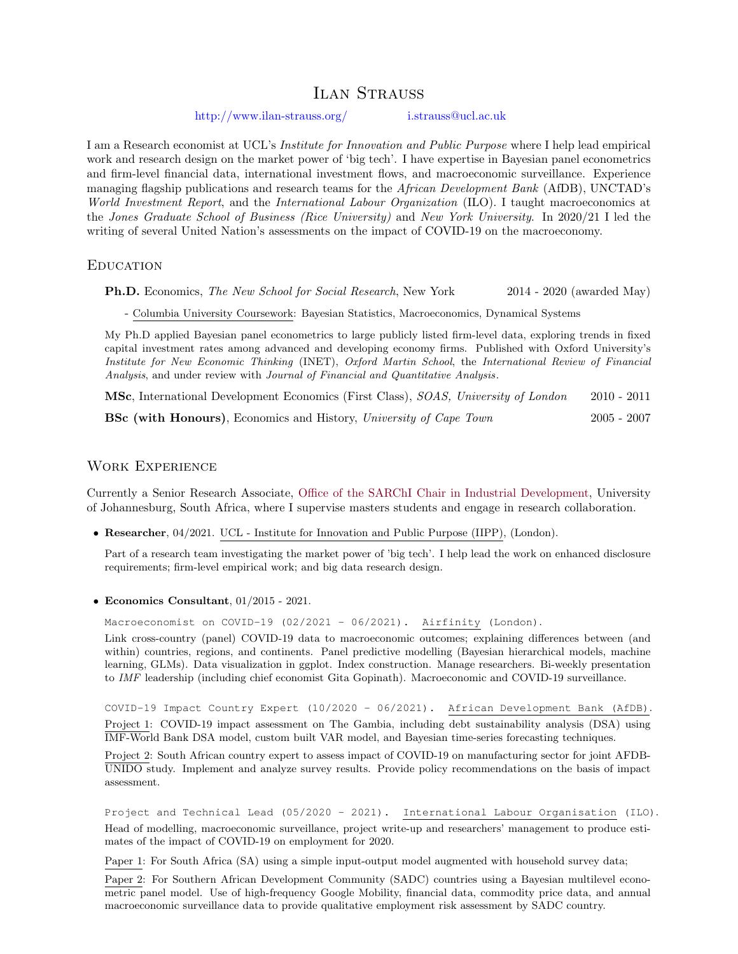# ILAN STRAUSS

<http://www.ilan-strauss.org/> [i.strauss@ucl.ac.uk](mailto: ilanstrauss@gmail.com)

I am a Research economist at UCL's Institute for Innovation and Public Purpose where I help lead empirical work and research design on the market power of 'big tech'. I have expertise in Bayesian panel econometrics and firm-level financial data, international investment flows, and macroeconomic surveillance. Experience managing flagship publications and research teams for the *African Development Bank* (AfDB), UNCTAD's World Investment Report, and the International Labour Organization (ILO). I taught macroeconomics at the Jones Graduate School of Business (Rice University) and New York University. In 2020/21 I led the writing of several United Nation's assessments on the impact of COVID-19 on the macroeconomy.

#### **EDUCATION**

Ph.D. Economics, The New School for Social Research, New York 2014 - 2020 (awarded May)

- Columbia University Coursework: Bayesian Statistics, Macroeconomics, Dynamical Systems

My Ph.D applied Bayesian panel econometrics to large publicly listed firm-level data, exploring trends in fixed capital investment rates among advanced and developing economy firms. Published with Oxford University's Institute for New Economic Thinking (INET), Oxford Martin School, the International Review of Financial Analysis, and under review with Journal of Financial and Quantitative Analysis.

MSc, International Development Economics (First Class), SOAS, University of London 2010 - 2011

BSc (with Honours), Economics and History, University of Cape Town 2005 - 2007

# Work Experience

Currently a Senior Research Associate, [Office of the SARChI Chair in Industrial Development,](https://www.uj.ac.za/faculties/fefs/SARCID/Pages/default.aspx) University of Johannesburg, South Africa, where I supervise masters students and engage in research collaboration.

• Researcher, 04/2021. UCL - Institute for Innovation and Public Purpose (IIPP), (London).

Part of a research team investigating the market power of 'big tech'. I help lead the work on enhanced disclosure requirements; firm-level empirical work; and big data research design.

• Economics Consultant, 01/2015 - 2021.

Macroeconomist on COVID-19 (02/2021 - 06/2021). Airfinity (London).

Link cross-country (panel) COVID-19 data to macroeconomic outcomes; explaining differences between (and within) countries, regions, and continents. Panel predictive modelling (Bayesian hierarchical models, machine learning, GLMs). Data visualization in ggplot. Index construction. Manage researchers. Bi-weekly presentation to IMF leadership (including chief economist Gita Gopinath). Macroeconomic and COVID-19 surveillance.

COVID-19 Impact Country Expert (10/2020 - 06/2021). African Development Bank (AfDB). Project 1: COVID-19 impact assessment on The Gambia, including debt sustainability analysis (DSA) using IMF-World Bank DSA model, custom built VAR model, and Bayesian time-series forecasting techniques.

Project 2: South African country expert to assess impact of COVID-19 on manufacturing sector for joint AFDB-UNIDO study. Implement and analyze survey results. Provide policy recommendations on the basis of impact assessment.

Project and Technical Lead (05/2020 - 2021). International Labour Organisation (ILO). Head of modelling, macroeconomic surveillance, project write-up and researchers' management to produce estimates of the impact of COVID-19 on employment for 2020.

Paper 1: For South Africa (SA) using a simple input-output model augmented with household survey data;

Paper 2: For Southern African Development Community (SADC) countries using a Bayesian multilevel econometric panel model. Use of high-frequency Google Mobility, financial data, commodity price data, and annual macroeconomic surveillance data to provide qualitative employment risk assessment by SADC country.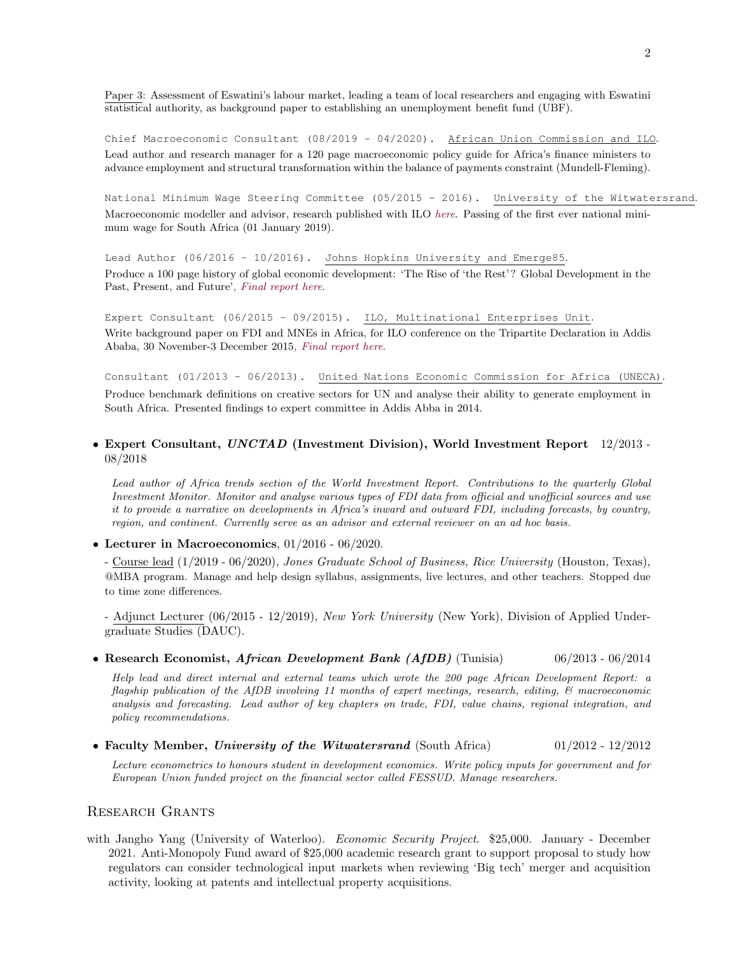Paper 3: Assessment of Eswatini's labour market, leading a team of local researchers and engaging with Eswatini statistical authority, as background paper to establishing an unemployment benefit fund (UBF).

Chief Macroeconomic Consultant (08/2019 - 04/2020). African Union Commission and ILO. Lead author and research manager for a 120 page macroeconomic policy guide for Africa's finance ministers to advance employment and structural transformation within the balance of payments constraint (Mundell-Fleming).

National Minimum Wage Steering Committee (05/2015 - 2016). University of the Witwatersrand. Macroeconomic modeller and advisor, research published with ILO [here](http://www.ilo.org/global/research/publications/papers/WCMS_593076/lang--en/index.htm). Passing of the first ever national minimum wage for South Africa (01 January 2019).

Lead Author (06/2016 - 10/2016). Johns Hopkins University and Emerge85. Produce a 100 page history of global economic development: 'The Rise of 'the Rest'? Global Development in the Past, Present, and Future'[, Final report here](http://emerge85.io/report/the-rise-of-the-rest).

Expert Consultant (06/2015 - 09/2015). ILO, Multinational Enterprises Unit. Write background paper on FDI and MNEs in Africa, for ILO conference on the Tripartite Declaration in Addis Ababa, 30 November-3 December 2015[, Final report here](https://www.ilo.org/wcmsp5/groups/public/---ed_norm/---relconf/documents/meetingdocument/wcms_420594.pdf).

Consultant (01/2013 - 06/2013). United Nations Economic Commission for Africa (UNECA). Produce benchmark definitions on creative sectors for UN and analyse their ability to generate employment in South Africa. Presented findings to expert committee in Addis Abba in 2014.

## • Expert Consultant, UNCTAD (Investment Division), World Investment Report 12/2013 - 08/2018

Lead author of Africa trends section of the World Investment Report. Contributions to the quarterly Global Investment Monitor. Monitor and analyse various types of FDI data from official and unofficial sources and use it to provide a narrative on developments in Africa's inward and outward FDI, including forecasts, by country, region, and continent. Currently serve as an advisor and external reviewer on an ad hoc basis.

• Lecturer in Macroeconomics, 01/2016 - 06/2020.

- Course lead (1/2019 - 06/2020), Jones Graduate School of Business, Rice University (Houston, Texas), @MBA program. Manage and help design syllabus, assignments, live lectures, and other teachers. Stopped due to time zone differences.

- Adjunct Lecturer (06/2015 - 12/2019), New York University (New York), Division of Applied Undergraduate Studies (DAUC).

• Research Economist, African Development Bank (AfDB) (Tunisia) 06/2013 - 06/2014

Help lead and direct internal and external teams which wrote the 200 page African Development Report: a flagship publication of the AfDB involving 11 months of expert meetings, research, editing, & macroeconomic analysis and forecasting. Lead author of key chapters on trade, FDI, value chains, regional integration, and policy recommendations.

• Faculty Member, University of the Witwatersrand (South Africa) 01/2012 - 12/2012

Lecture econometrics to honours student in development economics. Write policy inputs for government and for European Union funded project on the financial sector called FESSUD. Manage researchers.

#### Research Grants

with Jangho Yang (University of Waterloo). Economic Security Project. \$25,000. January - December 2021. Anti-Monopoly Fund award of \$25,000 academic research grant to support proposal to study how regulators can consider technological input markets when reviewing 'Big tech' merger and acquisition activity, looking at patents and intellectual property acquisitions.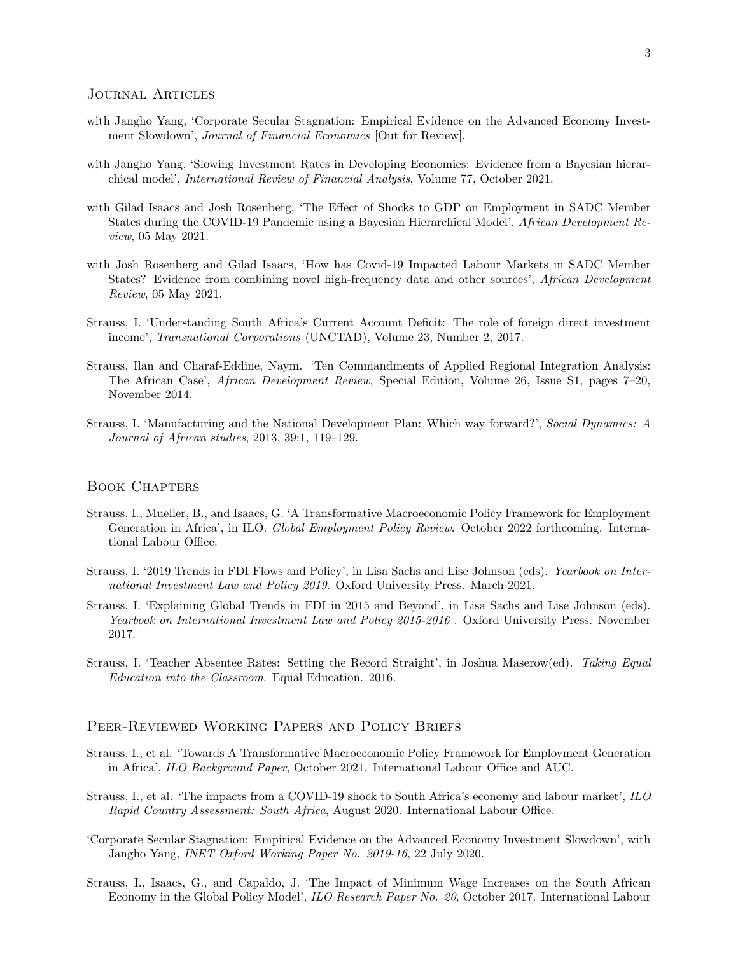#### Journal Articles

- with Jangho Yang, 'Corporate Secular Stagnation: Empirical Evidence on the Advanced Economy Investment Slowdown', Journal of Financial Economics [Out for Review].
- [with Jangho Yang, 'Slowing Investment Rates in Developing Economies: Evidence from a Bayesian hierar](https://www.sciencedirect.com/science/article/abs/pii/S1057521921001769)chical model', [International Review of Financial Analysis](https://www.sciencedirect.com/science/article/abs/pii/S1057521921001769), Volume 77, October 2021.
- [with Gilad Isaacs and Josh Rosenberg, 'The Effect of Shocks to GDP on Employment in SADC Member](https://doi.org/10.1111/1467-8268.12524) [States during the COVID-19 Pandemic using a Bayesian Hierarchical Model',](https://doi.org/10.1111/1467-8268.12524) African Development Review[, 05 May 2021.](https://doi.org/10.1111/1467-8268.12524)
- [with Josh Rosenberg and Gilad Isaacs, 'How has Covid-19 Impacted Labour Markets in SADC Member](https://doi.org/10.1111/1467-8268.12528) [States? Evidence from combining novel high-frequency data and other sources',](https://doi.org/10.1111/1467-8268.12528) African Development Review[, 05 May 2021.](https://doi.org/10.1111/1467-8268.12528)
- [Strauss, I. 'Understanding South Africa's Current Account Deficit: The role of foreign direct investment](http://unctad.org/en/PublicationsLibrary/diaeia2016d1_en.pdf ) income', Transnational Corporations [\(UNCTAD\), Volume 23, Number 2, 2017.](http://unctad.org/en/PublicationsLibrary/diaeia2016d1_en.pdf )
- [Strauss, Ilan and Charaf-Eddine, Naym. 'Ten Commandments of Applied Regional Integration Analysis:](http://onlinelibrary.wiley.com/doi/10.1111/1467-8268.12089/abstract) The African Case', African Development Review[, Special Edition, Volume 26, Issue S1, pages 7–20,](http://onlinelibrary.wiley.com/doi/10.1111/1467-8268.12089/abstract) [November 2014.](http://onlinelibrary.wiley.com/doi/10.1111/1467-8268.12089/abstract)
- [Strauss, I. 'Manufacturing and the National Development Plan: Which way forward?',](http://www.tandfonline.com/doi/abs/10.1080/02533952.2013.777546?journalCode=rsdy20) Social Dynamics: A [Journal of African studies](http://www.tandfonline.com/doi/abs/10.1080/02533952.2013.777546?journalCode=rsdy20), 2013, 39:1, 119–129.

#### Book Chapters

- Strauss, I., Mueller, B., and Isaacs, G. 'A Transformative Macroeconomic Policy Framework for Employment Generation in Africa', in ILO. Global Employment Policy Review. October 2022 forthcoming. International Labour Office.
- [Strauss, I. '2019 Trends in FDI Flows and Policy',](https://131e9909-08a6-4615-a320-8807c4b06804.filesusr.com/ugd/d7c748_8e51a74dd55440ac8652f0809498788f.pdf) in Lisa Sachs and Lise Johnson (eds). *Yearbook on Inter*national Investment Law and Policy 2019. Oxford University Press. March 2021.
- [Strauss, I. 'Explaining Global Trends in FDI in 2015 and Beyond',](http://ccsi.columbia.edu/files/2014/03/YB-2015-16-Front-matter.pdf) in Lisa Sachs and Lise Johnson (eds). Yearbook on International Investment Law and Policy 2015-2016. Oxford University Press. November 2017.
- [Strauss, I. 'Teacher Absentee Rates: Setting the Record Straight', in Joshua Maserow\(ed\).](https://equaleducation.org.za/wp-content/uploads/2016/08/EE-in-the-classroom_EBook.pdf) Taking Equal [Education into the Classroom](https://equaleducation.org.za/wp-content/uploads/2016/08/EE-in-the-classroom_EBook.pdf). Equal Education. 2016.

#### Peer-Reviewed Working Papers and Policy Briefs

- Strauss, I., et al. 'Towards A Transformative Macroeconomic Policy Framework for Employment Generation in Africa', ILO Background Paper, October 2021. International Labour Office and AUC.
- [Strauss, I., et al. 'The impacts from a COVID-19 shock to South Africa's economy and labour market',](http://ilo.org/emppolicy/pubs/WCMS_754443/lang--en/index.htm?shared_from=shr-tls) ILO Rapid Country Assessment: South Africa[, August 2020. International Labour Office.](http://ilo.org/emppolicy/pubs/WCMS_754443/lang--en/index.htm?shared_from=shr-tls)
- ['Corporate Secular Stagnation: Empirical Evidence on the Advanced Economy Investment Slowdown', with](https://www.inet.ox.ac.uk/files/Paper_1___Advanced_Economy_Investment_Rates.pdf) Jangho Yang, [INET Oxford Working Paper No. 2019-16](https://www.inet.ox.ac.uk/files/Paper_1___Advanced_Economy_Investment_Rates.pdf), 22 July 2020.
- [Strauss, I., Isaacs, G., and Capaldo, J. 'The Impact of Minimum Wage Increases on the South African](http://www.ilo.org/global/research/publications/papers/WCMS_593076/lang--en/index.htm) [Economy in the Global Policy Model',](http://www.ilo.org/global/research/publications/papers/WCMS_593076/lang--en/index.htm) *ILO Research Paper No. 20*, October 2017. International Labour